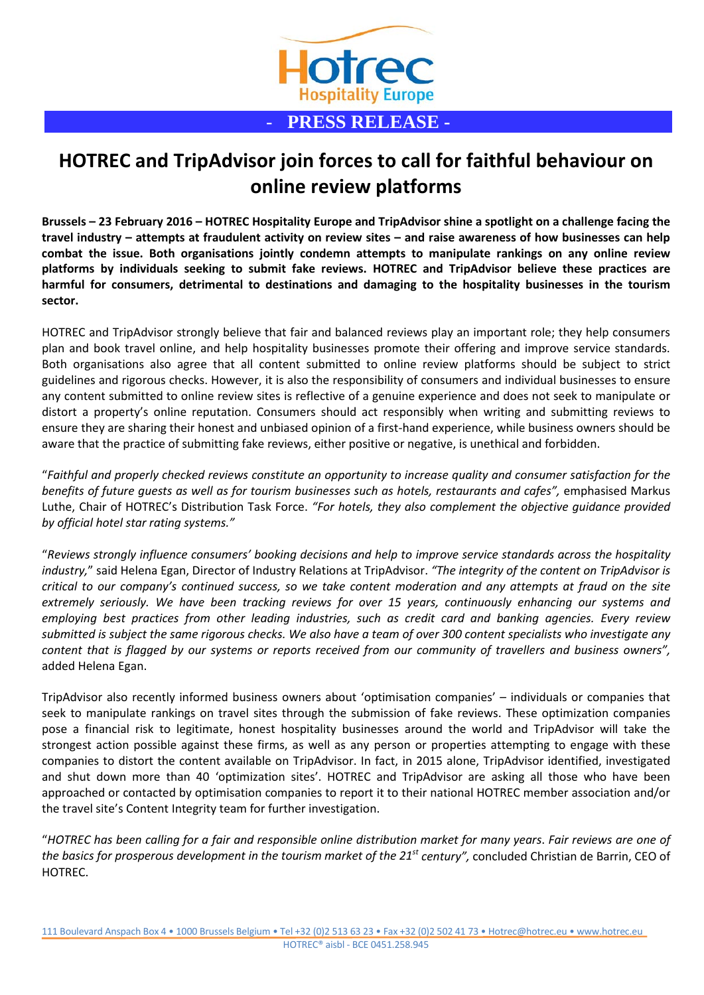

## **HOTREC and TripAdvisor join forces to call for faithful behaviour on online review platforms**

**Brussels – 23 February 2016 – HOTREC Hospitality Europe and TripAdvisor shine a spotlight on a challenge facing the travel industry – attempts at fraudulent activity on review sites – and raise awareness of how businesses can help combat the issue. Both organisations jointly condemn attempts to manipulate rankings on any online review platforms by individuals seeking to submit fake reviews. HOTREC and TripAdvisor believe these practices are harmful for consumers, detrimental to destinations and damaging to the hospitality businesses in the tourism sector.**

HOTREC and TripAdvisor strongly believe that fair and balanced reviews play an important role; they help consumers plan and book travel online, and help hospitality businesses promote their offering and improve service standards. Both organisations also agree that all content submitted to online review platforms should be subject to strict guidelines and rigorous checks. However, it is also the responsibility of consumers and individual businesses to ensure any content submitted to online review sites is reflective of a genuine experience and does not seek to manipulate or distort a property's online reputation. Consumers should act responsibly when writing and submitting reviews to ensure they are sharing their honest and unbiased opinion of a first-hand experience, while business owners should be aware that the practice of submitting fake reviews, either positive or negative, is unethical and forbidden.

"*Faithful and properly checked reviews constitute an opportunity to increase quality and consumer satisfaction for the benefits of future guests as well as for tourism businesses such as hotels, restaurants and cafes",* emphasised Markus Luthe, Chair of HOTREC's Distribution Task Force. *"For hotels, they also complement the objective guidance provided by official hotel star rating systems."*

"*Reviews strongly influence consumers' booking decisions and help to improve service standards across the hospitality industry,*" said Helena Egan, Director of Industry Relations at TripAdvisor. *"The integrity of the content on TripAdvisor is critical to our company's continued success, so we take content moderation and any attempts at fraud on the site extremely seriously. We have been tracking reviews for over 15 years, continuously enhancing our systems and employing best practices from other leading industries, such as credit card and banking agencies. Every review submitted is subject the same rigorous checks. We also have a team of over 300 content specialists who investigate any content that is flagged by our systems or reports received from our community of travellers and business owners",* added Helena Egan.

TripAdvisor also recently informed business owners about 'optimisation companies' – individuals or companies that seek to manipulate rankings on travel sites through the submission of fake reviews. These optimization companies pose a financial risk to legitimate, honest hospitality businesses around the world and TripAdvisor will take the strongest action possible against these firms, as well as any person or properties attempting to engage with these companies to distort the content available on TripAdvisor. In fact, in 2015 alone, TripAdvisor identified, investigated and shut down more than 40 'optimization sites'. HOTREC and TripAdvisor are asking all those who have been approached or contacted by optimisation companies to report it to their national HOTREC member association and/or the travel site's Content Integrity team for further investigation.

"*HOTREC has been calling for a fair and responsible online distribution market for many years*. *Fair reviews are one of the basics for prosperous development in the tourism market of the 21st century",* concluded Christian de Barrin, CEO of HOTREC.